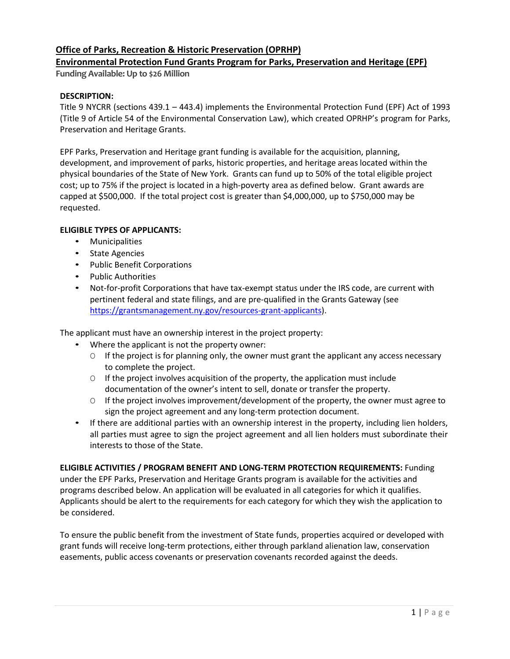# **Office of Parks, Recreation & Historic Preservation (OPRHP)**

# **Environmental Protection Fund Grants Program for Parks, Preservation and Heritage (EPF)**

**Funding Available: Up to \$26 Million**

# **DESCRIPTION:**

Title 9 NYCRR (sections 439.1 – 443.4) implements the Environmental Protection Fund (EPF) Act of 1993 (Title 9 of Article 54 of the Environmental Conservation Law), which created OPRHP's program for Parks, Preservation and Heritage Grants.

EPF Parks, Preservation and Heritage grant funding is available for the acquisition, planning, development, and improvement of parks, historic properties, and heritage areaslocated within the physical boundaries of the State of New York. Grants can fund up to 50% of the total eligible project cost; up to 75% if the project is located in a high-poverty area as defined below. Grant awards are capped at \$500,000. If the total project cost is greater than \$4,000,000, up to \$750,000 may be requested.

# **ELIGIBLE TYPES OF APPLICANTS:**

- Municipalities
- State Agencies
- Public Benefit Corporations
- Public Authorities
- Not-for-profit Corporations that have tax-exempt status under the IRS code, are current with pertinent federal and state filings, and are pre-qualified in the Grants Gateway (see [https://grantsmanagement.ny.gov/resources-grant-applicants\)](https://grantsmanagement.ny.gov/resources-grant-applicants).

The applicant must have an ownership interest in the project property:

- Where the applicant is not the property owner:
	- O If the project is for planning only, the owner must grant the applicant any access necessary to complete the project.
	- O If the project involves acquisition of the property, the application must include documentation of the owner's intent to sell, donate or transfer the property.
	- O If the project involves improvement/development of the property, the owner must agree to sign the project agreement and any long-term protection document.
- If there are additional parties with an ownership interest in the property, including lien holders, all parties must agree to sign the project agreement and all lien holders must subordinate their interests to those of the State.

**ELIGIBLE ACTIVITIES / PROGRAM BENEFIT AND LONG-TERM PROTECTION REQUIREMENTS:** Funding under the EPF Parks, Preservation and Heritage Grants program is available for the activities and programs described below. An application will be evaluated in all categories for which it qualifies. Applicants should be alert to the requirements for each category for which they wish the application to be considered.

To ensure the public benefit from the investment of State funds, properties acquired or developed with grant funds will receive long-term protections, either through parkland alienation law, conservation easements, public access covenants or preservation covenants recorded against the deeds.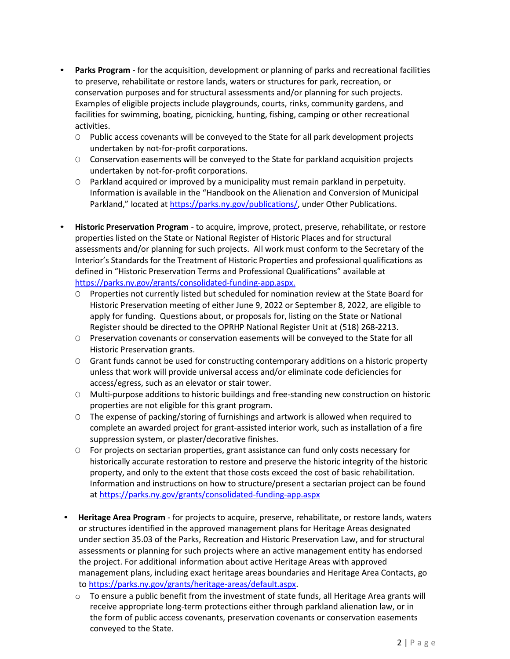- **Parks Program** for the acquisition, development or planning of parks and recreational facilities to preserve, rehabilitate or restore lands, waters or structures for park, recreation, or conservation purposes and for structural assessments and/or planning for such projects. Examples of eligible projects include playgrounds, courts, rinks, community gardens, and facilities for swimming, boating, picnicking, hunting, fishing, camping or other recreational activities.
	- O Public access covenants will be conveyed to the State for all park development projects undertaken by not-for-profit corporations.
	- O Conservation easements will be conveyed to the State for parkland acquisition projects undertaken by not-for-profit corporations.
	- O Parkland acquired or improved by a municipality must remain parkland in perpetuity. Information is available in the "Handbook on the Alienation and Conversion of Municipal Parkland," located at [https://parks.ny.gov/publications/,](https://parks.ny.gov/publications/) under Other Publications.
- **Historic Preservation Program** to acquire, improve, protect, preserve, rehabilitate, or restore properties listed on the State or National Register of Historic Places and for structural assessments and/or planning for such projects. All work must conform to the Secretary of the Interior's Standards for the Treatment of Historic Properties and professional qualifications as defined in "Historic Preservation Terms and Professional Qualifications" available at [https://parks.ny.gov/grants/consolidated-funding-app.aspx.](https://parks.ny.gov/grants/consolidated-funding-app.aspx)
	- O Properties not currently listed but scheduled for nomination review at the State Board for Historic Preservation meeting of either June 9, 2022 or September 8, 2022, are eligible to apply for funding. Questions about, or proposals for, listing on the State or National Register should be directed to the OPRHP National Register Unit at (518) 268-2213.
	- O Preservation covenants or conservation easements will be conveyed to the State for all Historic Preservation grants.
	- O Grant funds cannot be used for constructing contemporary additions on a historic property unless that work will provide universal access and/or eliminate code deficiencies for access/egress, such as an elevator or stair tower.
	- O Multi-purpose additions to historic buildings and free-standing new construction on historic properties are not eligible for this grant program.
	- O The expense of packing/storing of furnishings and artwork is allowed when required to complete an awarded project for grant-assisted interior work, such as installation of a fire suppression system, or plaster/decorative finishes.
	- O For projects on sectarian properties, grant assistance can fund only costs necessary for historically accurate restoration to restore and preserve the historic integrity of the historic property, and only to the extent that those costs exceed the cost of basic rehabilitation. Information and instructions on how to structure/present a sectarian project can be found a[t https://parks.ny.gov/grants/consolidated-funding-app.aspx](https://parks.ny.gov/grants/consolidated-funding-app.aspx)
- **Heritage Area Program** for projects to acquire, preserve, rehabilitate, or restore lands, waters or structures identified in the approved management plans for Heritage Areas designated under section 35.03 of the Parks, Recreation and Historic Preservation Law, and for structural assessments or planning for such projects where an active management entity has endorsed the project. For additional information about active Heritage Areas with approved management plans, including exact heritage areas boundaries and Heritage Area Contacts, go t[o https://parks.ny.gov/grants/heritage-areas/default.aspx.](https://parks.ny.gov/grants/heritage-areas/default.aspx)
	- $\circ$  To ensure a public benefit from the investment of state funds, all Heritage Area grants will receive appropriate long-term protections either through parkland alienation law, or in the form of public access covenants, preservation covenants or conservation easements conveyed to the State.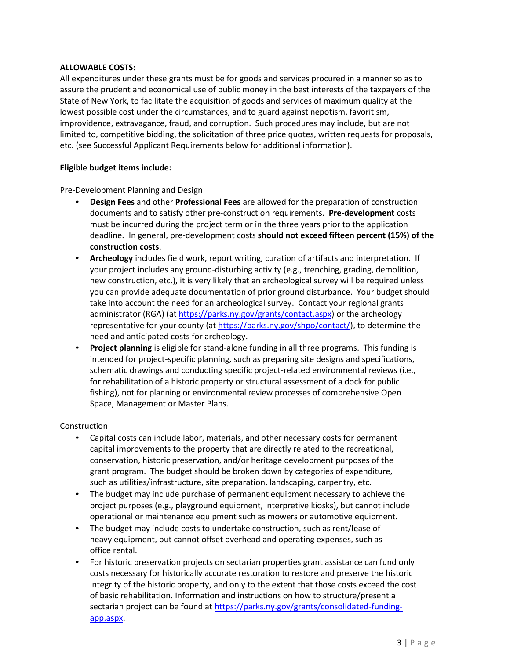# **ALLOWABLE COSTS:**

All expenditures under these grants must be for goods and services procured in a manner so as to assure the prudent and economical use of public money in the best interests of the taxpayers of the State of New York, to facilitate the acquisition of goods and services of maximum quality at the lowest possible cost under the circumstances, and to guard against nepotism, favoritism, improvidence, extravagance, fraud, and corruption. Such procedures may include, but are not limited to, competitive bidding, the solicitation of three price quotes, written requests for proposals, etc. (see Successful Applicant Requirements below for additional information).

# **Eligible budget items include:**

Pre-Development Planning and Design

- **Design Fees** and other **Professional Fees** are allowed for the preparation of construction documents and to satisfy other pre-construction requirements. **Pre-development** costs must be incurred during the project term or in the three years prior to the application deadline. In general, pre-development costs **should not exceed fifteen percent (15%) of the construction costs**.
- **Archeology** includes field work, report writing, curation of artifacts and interpretation. If your project includes any ground-disturbing activity (e.g., trenching, grading, demolition, new construction, etc.), it is very likely that an archeological survey will be required unless you can provide adequate documentation of prior ground disturbance. Your budget should take into account the need for an archeological survey. Contact your regional grants administrator (RGA) (a[t https://parks.ny.gov/grants/contact.aspx\)](https://parks.ny.gov/grants/contact.aspx) or the archeology representative for your county (at [https://parks.ny.gov/shpo/contact/\)](https://parks.ny.gov/shpo/contact/), to determine the need and anticipated costs for archeology.
- **Project planning** is eligible for stand-alone funding in all three programs. This funding is intended for project-specific planning, such as preparing site designs and specifications, schematic drawings and conducting specific project-related environmental reviews (i.e., for rehabilitation of a historic property or structural assessment of a dock for public fishing), not for planning or environmental review processes of comprehensive Open Space, Management or Master Plans.

# Construction

- Capital costs can include labor, materials, and other necessary costs for permanent capital improvements to the property that are directly related to the recreational, conservation, historic preservation, and/or heritage development purposes of the grant program. The budget should be broken down by categories of expenditure, such as utilities/infrastructure, site preparation, landscaping, carpentry, etc.
- The budget may include purchase of permanent equipment necessary to achieve the project purposes (e.g., playground equipment, interpretive kiosks), but cannot include operational or maintenance equipment such as mowers or automotive equipment.
- The budget may include costs to undertake construction, such as rent/lease of heavy equipment, but cannot offset overhead and operating expenses, such as office rental.
- For historic preservation projects on sectarian properties grant assistance can fund only costs necessary for historically accurate restoration to restore and preserve the historic integrity of the historic property, and only to the extent that those costs exceed the cost of basic rehabilitation. Information and instructions on how to structure/present a sectarian project can be found at [https://parks.ny.gov/grants/consolidated-funding](https://parks.ny.gov/grants/consolidated-funding-app.aspx)[app.aspx.](https://parks.ny.gov/grants/consolidated-funding-app.aspx)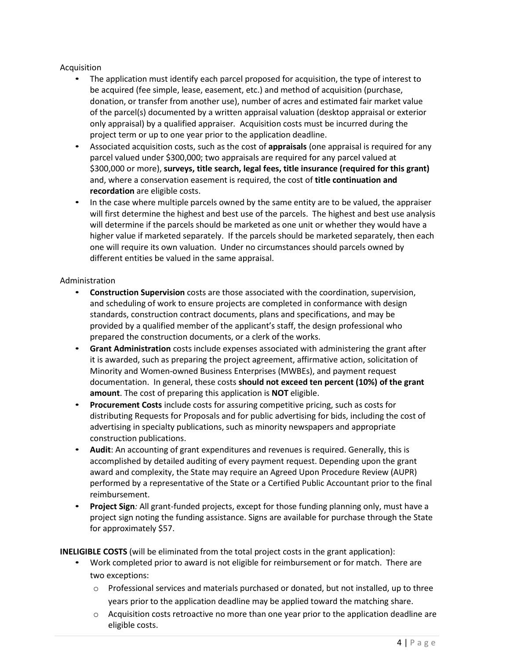# Acquisition

- The application must identify each parcel proposed for acquisition, the type of interest to be acquired (fee simple, lease, easement, etc.) and method of acquisition (purchase, donation, or transfer from another use), number of acres and estimated fair market value of the parcel(s) documented by a written appraisal valuation (desktop appraisal or exterior only appraisal) by a qualified appraiser*.* Acquisition costs must be incurred during the project term or up to one year prior to the application deadline.
- Associated acquisition costs, such as the cost of **appraisals** (one appraisal is required for any parcel valued under \$300,000; two appraisals are required for any parcel valued at \$300,000 or more), **surveys, title search, legal fees, title insurance (required for this grant)** and, where a conservation easement is required, the cost of **title continuation and recordation** are eligible costs.
- In the case where multiple parcels owned by the same entity are to be valued, the appraiser will first determine the highest and best use of the parcels. The highest and best use analysis will determine if the parcels should be marketed as one unit or whether they would have a higher value if marketed separately. If the parcels should be marketed separately, then each one will require its own valuation. Under no circumstances should parcels owned by different entities be valued in the same appraisal.

# Administration

- **Construction Supervision** costs are those associated with the coordination, supervision, and scheduling of work to ensure projects are completed in conformance with design standards, construction contract documents, plans and specifications, and may be provided by a qualified member of the applicant's staff, the design professional who prepared the construction documents, or a clerk of the works.
- **Grant Administration** costs include expenses associated with administering the grant after it is awarded, such as preparing the project agreement, affirmative action, solicitation of Minority and Women-owned Business Enterprises (MWBEs), and payment request documentation. In general, these costs **should not exceed ten percent (10%) of the grant amount**. The cost of preparing this application is **NOT** eligible.
- **Procurement Costs** include costs for assuring competitive pricing, such as costs for distributing Requests for Proposals and for public advertising for bids, including the cost of advertising in specialty publications, such as minority newspapers and appropriate construction publications.
- **Audit**: An accounting of grant expenditures and revenues is required. Generally, this is accomplished by detailed auditing of every payment request. Depending upon the grant award and complexity, the State may require an Agreed Upon Procedure Review (AUPR) performed by a representative of the State or a Certified Public Accountant prior to the final reimbursement.
- **Project Sign***:* All grant-funded projects, except for those funding planning only, must have a project sign noting the funding assistance. Signs are available for purchase through the State for approximately \$57.

**INELIGIBLE COSTS** (will be eliminated from the total project costs in the grant application):

- Work completed prior to award is not eligible for reimbursement or for match. There are two exceptions:
	- $\circ$  Professional services and materials purchased or donated, but not installed, up to three years prior to the application deadline may be applied toward the matching share.
	- $\circ$  Acquisition costs retroactive no more than one year prior to the application deadline are eligible costs.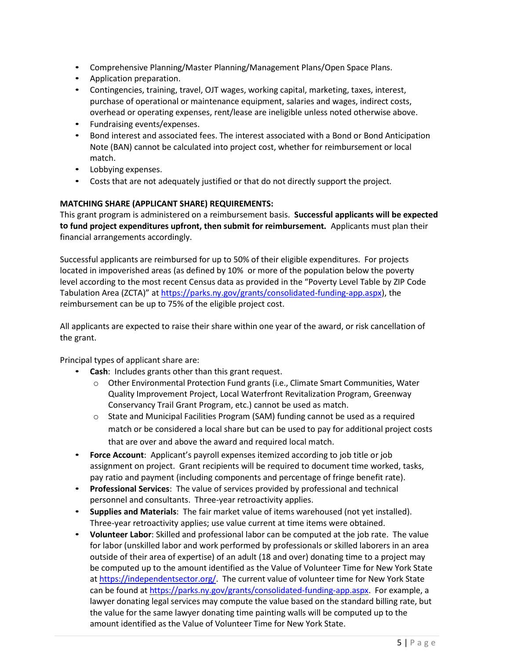- Comprehensive Planning/Master Planning/Management Plans/Open Space Plans.
- Application preparation.
- Contingencies, training, travel, OJT wages, working capital, marketing, taxes, interest, purchase of operational or maintenance equipment, salaries and wages, indirect costs, overhead or operating expenses, rent/lease are ineligible unless noted otherwise above.
- Fundraising events/expenses.
- Bond interest and associated fees. The interest associated with a Bond or Bond Anticipation Note (BAN) cannot be calculated into project cost, whether for reimbursement or local match.
- Lobbying expenses.
- Costs that are not adequately justified or that do not directly support the project.

# **MATCHING SHARE (APPLICANT SHARE) REQUIREMENTS:**

This grant program is administered on a reimbursement basis. **Successful applicants will be expected to fund project expenditures upfront, then submit for reimbursement.** Applicants must plan their financial arrangements accordingly.

Successful applicants are reimbursed for up to 50% of their eligible expenditures. For projects located in impoverished areas (as defined by 10% or more of the population below the poverty level according to the most recent Census data as provided in the "Poverty Level Table by ZIP Code Tabulation Area (ZCTA)" a[t https://parks.ny.gov/grants/consolidated-funding-app.aspx\)](https://parks.ny.gov/grants/consolidated-funding-app.aspx), the reimbursement can be up to 75% of the eligible project cost.

All applicants are expected to raise their share within one year of the award, or risk cancellation of the grant.

Principal types of applicant share are:

- **Cash**: Includes grants other than this grant request.
	- o Other Environmental Protection Fund grants (i.e., Climate Smart Communities, Water Quality Improvement Project, Local Waterfront Revitalization Program, Greenway Conservancy Trail Grant Program, etc.) cannot be used as match.
	- o State and Municipal Facilities Program (SAM) funding cannot be used as a required match or be considered a local share but can be used to pay for additional project costs that are over and above the award and required local match.
- **Force Account**: Applicant's payroll expenses itemized according to job title or job assignment on project. Grant recipients will be required to document time worked, tasks, pay ratio and payment (including components and percentage of fringe benefit rate).
- **Professional Services**: The value of services provided by professional and technical personnel and consultants. Three-year retroactivity applies.
- **Supplies and Materials**: The fair market value of items warehoused (not yet installed). Three-year retroactivity applies; use value current at time items were obtained.
- **Volunteer Labor**: Skilled and professional labor can be computed at the job rate. The value for labor (unskilled labor and work performed by professionals or skilled laborers in an area outside of their area of expertise) of an adult (18 and over) donating time to a project may be computed up to the amount identified as the Value of Volunteer Time for New York State a[t https://independentsector.org/.](https://independentsector.org/) The current value of volunteer time for New York State can be found a[t https://parks.ny.gov/grants/consolidated-funding-app.aspx.](https://parks.ny.gov/grants/consolidated-funding-app.aspx) For example, a lawyer donating legal services may compute the value based on the standard billing rate, but the value for the same lawyer donating time painting walls will be computed up to the amount identified as the Value of Volunteer Time for New York State.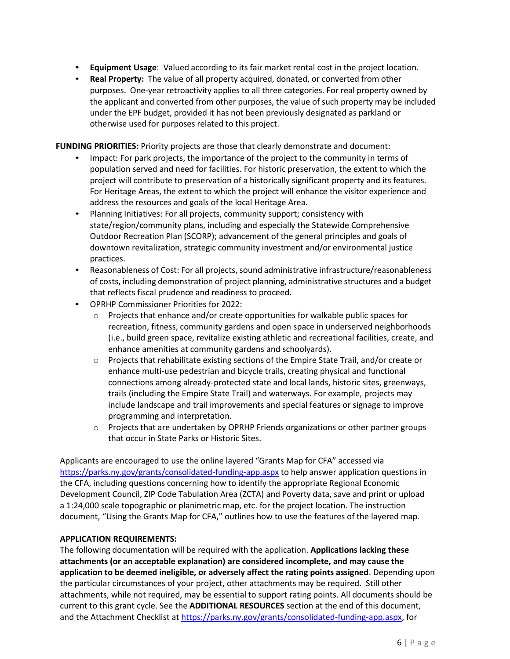- **Equipment Usage**: Valued according to its fair market rental cost in the project location.
- **Real Property:** The value of all property acquired, donated, or converted from other purposes. One-year retroactivity applies to all three categories. For real property owned by the applicant and converted from other purposes, the value of such property may be included under the EPF budget, provided it has not been previously designated as parkland or otherwise used for purposes related to this project.

**FUNDING PRIORITIES:** Priority projects are those that clearly demonstrate and document:

- Impact: For park projects, the importance of the project to the community in terms of population served and need for facilities. For historic preservation, the extent to which the project will contribute to preservation of a historically significant property and its features. For Heritage Areas, the extent to which the project will enhance the visitor experience and address the resources and goals of the local Heritage Area.
- Planning Initiatives: For all projects, community support; consistency with state/region/community plans, including and especially the Statewide Comprehensive Outdoor Recreation Plan (SCORP); advancement of the general principles and goals of downtown revitalization, strategic community investment and/or environmental justice practices.
- Reasonableness of Cost: For all projects, sound administrative infrastructure/reasonableness of costs, including demonstration of project planning, administrative structures and a budget that reflects fiscal prudence and readiness to proceed.
- OPRHP Commissioner Priorities for 2022:
	- $\circ$  Projects that enhance and/or create opportunities for walkable public spaces for recreation, fitness, community gardens and open space in underserved neighborhoods (i.e., build green space, revitalize existing athletic and recreational facilities, create, and enhance amenities at community gardens and schoolyards).
	- $\circ$  Projects that rehabilitate existing sections of the Empire State Trail, and/or create or enhance multi-use pedestrian and bicycle trails, creating physical and functional connections among already-protected state and local lands, historic sites, greenways, trails (including the Empire State Trail) and waterways. For example, projects may include landscape and trail improvements and special features or signage to improve programming and interpretation.
	- $\circ$  Projects that are undertaken by OPRHP Friends organizations or other partner groups that occur in State Parks or Historic Sites.

Applicants are encouraged to use the online layered "Grants Map for CFA" accessed via <https://parks.ny.gov/grants/consolidated-funding-app.aspx> to help answer application questions in the CFA, including questions concerning how to identify the appropriate Regional Economic Development Council, ZIP Code Tabulation Area (ZCTA) and Poverty data, save and print or upload a 1:24,000 scale topographic or planimetric map, etc. for the project location. The instruction document, "Using the Grants Map for CFA," outlines how to use the features of the layered map.

# **APPLICATION REQUIREMENTS:**

The following documentation will be required with the application. **Applications lacking these attachments (or an acceptable explanation) are considered incomplete, and may cause the application to be deemed ineligible, or adversely affect the rating points assigned**. Depending upon the particular circumstances of your project, other attachments may be required. Still other attachments, while not required, may be essential to support rating points. All documents should be current to this grant cycle. See the **ADDITIONAL RESOURCES** section at the end of this document, and the Attachment Checklist a[t https://parks.ny.gov/grants/consolidated-funding-app.aspx,](https://parks.ny.gov/grants/consolidated-funding-app.aspx) for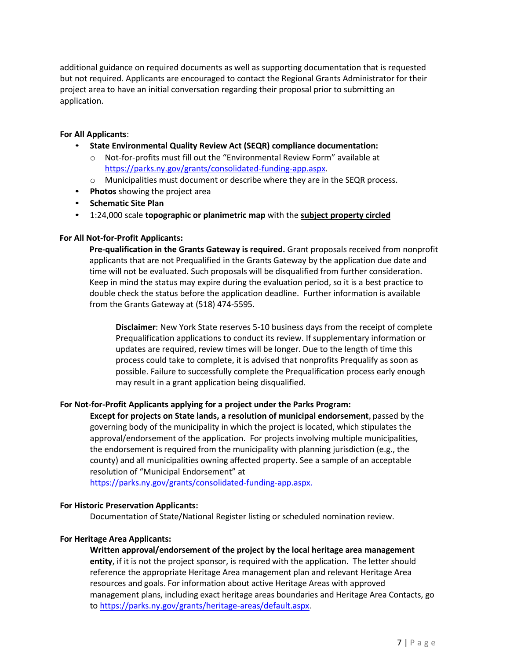additional guidance on required documents as well as supporting documentation that is requested but not required. Applicants are encouraged to contact the Regional Grants Administrator for their project area to have an initial conversation regarding their proposal prior to submitting an application.

#### **For All Applicants**:

- **State Environmental Quality Review Act (SEQR) compliance documentation:**
	- o Not-for-profits must fill out the "Environmental Review Form" available at [https://parks.ny.gov/grants/consolidated-funding-app.aspx.](https://parks.ny.gov/grants/consolidated-funding-app.aspx)
	- o Municipalities must document or describe where they are in the SEQR process.
- **Photos** showing the project area
- **Schematic Site Plan**
- 1:24,000 scale **topographic or planimetric map** with the **subject property circled**

# **For All Not-for-Profit Applicants:**

**Pre-qualification in the Grants Gateway is required.** Grant proposals received from nonprofit applicants that are not Prequalified in the Grants Gateway by the application due date and time will not be evaluated. Such proposals will be disqualified from further consideration. Keep in mind the status may expire during the evaluation period, so it is a best practice to double check the status before the application deadline. Further information is available from the Grants Gateway at (518) 474-5595.

**Disclaimer**: New York State reserves 5-10 business days from the receipt of complete Prequalification applications to conduct its review. If supplementary information or updates are required, review times will be longer. Due to the length of time this process could take to complete, it is advised that nonprofits Prequalify as soon as possible. Failure to successfully complete the Prequalification process early enough may result in a grant application being disqualified.

#### **For Not-for-Profit Applicants applying for a project under the Parks Program:**

**Except for projects on State lands, a resolution of municipal endorsement**, passed by the governing body of the municipality in which the project is located, which stipulates the approval/endorsement of the application. For projects involving multiple municipalities, the endorsement is required from the municipality with planning jurisdiction (e.g., the county) and all municipalities owning affected property. See a sample of an acceptable resolution of "Municipal Endorsement" at

[https://parks.ny.gov/grants/consolidated-funding-app.aspx.](https://parks.ny.gov/grants/consolidated-funding-app.aspx)

#### **For Historic Preservation Applicants:**

Documentation of State/National Register listing or scheduled nomination review.

#### **For Heritage Area Applicants:**

**Written approval/endorsement of the project by the local heritage area management entity**, if it is not the project sponsor, is required with the application. The letter should reference the appropriate Heritage Area management plan and relevant Heritage Area resources and goals. For information about active Heritage Areas with approved management plans, including exact heritage areas boundaries and Heritage Area Contacts, go to [https://parks.ny.gov/grants/heritage-areas/default.aspx.](https://parks.ny.gov/grants/heritage-areas/default.aspx)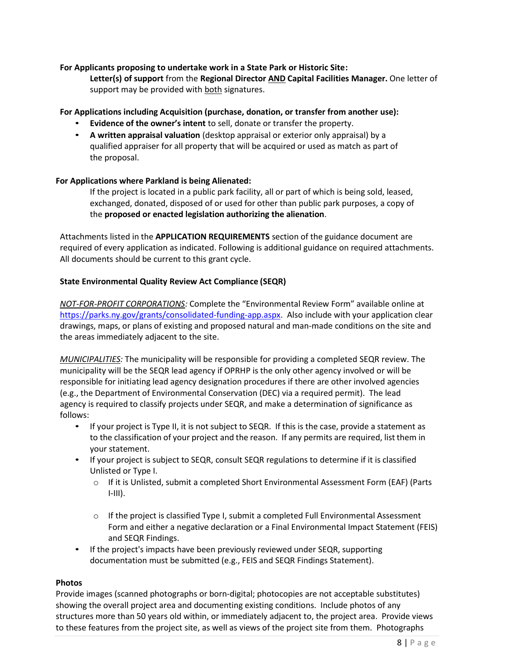# **For Applicants proposing to undertake work in a State Park or Historic Site:**

**Letter(s) of support** from the **Regional Director AND Capital Facilities Manager.** One letter of support may be provided with both signatures.

# **For Applications including Acquisition (purchase, donation, or transfer from another use):**

- **Evidence of the owner's intent** to sell, donate or transfer the property.
- **A written appraisal valuation** (desktop appraisal or exterior only appraisal) by a qualified appraiser for all property that will be acquired or used as match as part of the proposal.

# **For Applications where Parkland is being Alienated:**

If the project is located in a public park facility, all or part of which is being sold, leased, exchanged, donated, disposed of or used for other than public park purposes, a copy of the **proposed or enacted legislation authorizing the alienation**.

Attachments listed in the **APPLICATION REQUIREMENTS** section of the guidance document are required of every application as indicated. Following is additional guidance on required attachments. All documents should be current to this grant cycle.

# **State Environmental Quality Review Act Compliance (SEQR)**

*NOT-FOR-PROFIT CORPORATIONS:* Complete the "Environmental Review Form" available online at [https://parks.ny.gov/grants/consolidated-funding-app.aspx.](https://parks.ny.gov/grants/consolidated-funding-app.aspx) Also include with your application clear drawings, maps, or plans of existing and proposed natural and man-made conditions on the site and the areas immediately adjacent to the site.

*MUNICIPALITIES:* The municipality will be responsible for providing a completed SEQR review. The municipality will be the SEQR lead agency if OPRHP is the only other agency involved or will be responsible for initiating lead agency designation procedures if there are other involved agencies (e.g., the Department of Environmental Conservation (DEC) via a required permit). The lead agency is required to classify projects under SEQR, and make a determination of significance as follows:

- If your project is Type II, it is not subject to SEQR. If this is the case, provide a statement as to the classification of your project and the reason. If any permits are required, list them in your statement.
- If your project is subject to SEQR, consult SEQR regulations to determine if it is classified Unlisted or Type I.
	- o If it is Unlisted, submit a completed Short Environmental Assessment Form (EAF) (Parts  $I-III$ ).
	- $\circ$  If the project is classified Type I, submit a completed Full Environmental Assessment Form and either a negative declaration or a Final Environmental Impact Statement (FEIS) and SEQR Findings.
- If the project's impacts have been previously reviewed under SEQR, supporting documentation must be submitted (e.g., FEIS and SEQR Findings Statement).

# **Photos**

Provide images (scanned photographs or born-digital; photocopies are not acceptable substitutes) showing the overall project area and documenting existing conditions. Include photos of any structures more than 50 years old within, or immediately adjacent to, the project area. Provide views to these features from the project site, as well as views of the project site from them. Photographs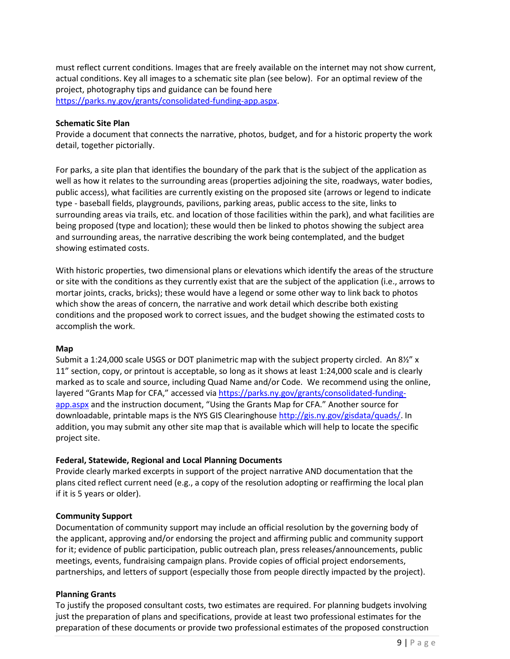must reflect current conditions. Images that are freely available on the internet may not show current, actual conditions. Key all images to a schematic site plan (see below). For an optimal review of the project, photography tips and guidance can be found here [https://parks.ny.gov/grants/consolidated-funding-app.aspx.](https://parks.ny.gov/grants/consolidated-funding-app.aspx)

#### **Schematic Site Plan**

Provide a document that connects the narrative, photos, budget, and for a historic property the work detail, together pictorially.

For parks, a site plan that identifies the boundary of the park that is the subject of the application as well as how it relates to the surrounding areas (properties adjoining the site, roadways, water bodies, public access), what facilities are currently existing on the proposed site (arrows or legend to indicate type - baseball fields, playgrounds, pavilions, parking areas, public access to the site, links to surrounding areas via trails, etc. and location of those facilities within the park), and what facilities are being proposed (type and location); these would then be linked to photos showing the subject area and surrounding areas, the narrative describing the work being contemplated, and the budget showing estimated costs.

With historic properties, two dimensional plans or elevations which identify the areas of the structure or site with the conditions as they currently exist that are the subject of the application (i.e., arrows to mortar joints, cracks, bricks); these would have a legend or some other way to link back to photos which show the areas of concern, the narrative and work detail which describe both existing conditions and the proposed work to correct issues, and the budget showing the estimated costs to accomplish the work.

#### **Map**

Submit a 1:24,000 scale USGS or DOT planimetric map with the subject property circled. An 8½" x 11" section, copy, or printout is acceptable, so long as it shows at least 1:24,000 scale and is clearly marked as to scale and source, including Quad Name and/or Code. We recommend using the online, layered "Grants Map for CFA," accessed vi[a https://parks.ny.gov/grants/consolidated-funding](https://parks.ny.gov/grants/consolidated-funding-app.aspx)[app.aspx](https://parks.ny.gov/grants/consolidated-funding-app.aspx) and the instruction document, "Using the Grants Map for CFA." Another source for downloadable, printable maps is the NYS GIS Clearinghouse [http://gis.ny.gov/gisdata/quads/.](http://gis.ny.gov/gisdata/quads/) In addition, you may submit any other site map that is available which will help to locate the specific project site.

#### **Federal, Statewide, Regional and Local Planning Documents**

Provide clearly marked excerpts in support of the project narrative AND documentation that the plans cited reflect current need (e.g., a copy of the resolution adopting or reaffirming the local plan if it is 5 years or older).

#### **Community Support**

Documentation of community support may include an official resolution by the governing body of the applicant, approving and/or endorsing the project and affirming public and community support for it; evidence of public participation, public outreach plan, press releases/announcements, public meetings, events, fundraising campaign plans. Provide copies of official project endorsements, partnerships, and letters of support (especially those from people directly impacted by the project).

#### **Planning Grants**

To justify the proposed consultant costs, two estimates are required. For planning budgets involving just the preparation of plans and specifications, provide at least two professional estimates for the preparation of these documents or provide two professional estimates of the proposed construction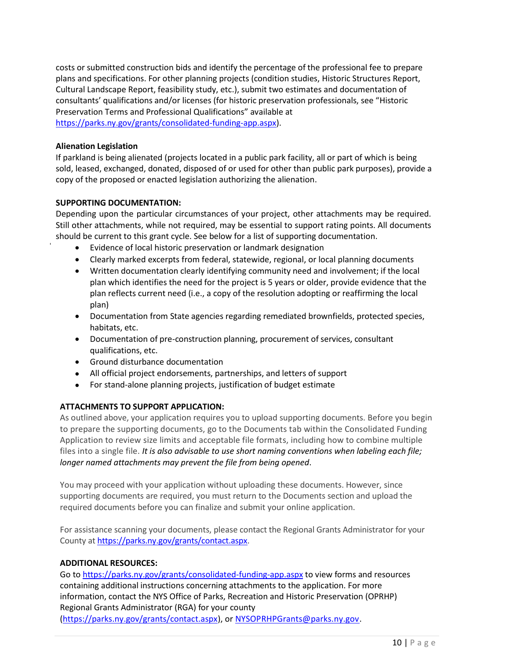costs or submitted construction bids and identify the percentage of the professional fee to prepare plans and specifications. For other planning projects (condition studies, Historic Structures Report, Cultural Landscape Report, feasibility study, etc.), submit two estimates and documentation of consultants' qualifications and/or licenses (for historic preservation professionals, see "Historic Preservation Terms and Professional Qualifications" available at [https://parks.ny.gov/grants/consolidated-funding-app.aspx\)](https://parks.ny.gov/grants/consolidated-funding-app.aspx).

# **Alienation Legislation**

If parkland is being alienated (projects located in a public park facility, all or part of which is being sold, leased, exchanged, donated, disposed of or used for other than public park purposes), provide a copy of the proposed or enacted legislation authorizing the alienation.

# **SUPPORTING DOCUMENTATION:**

Depending upon the particular circumstances of your project, other attachments may be required. Still other attachments, while not required, may be essential to support rating points. All documents should be current to this grant cycle. See below for a list of supporting documentation.

- Evidence of local historic preservation or landmark designation
- Clearly marked excerpts from federal, statewide, regional, or local planning documents
- Written documentation clearly identifying community need and involvement; if the local plan which identifies the need for the project is 5 years or older, provide evidence that the plan reflects current need (i.e., a copy of the resolution adopting or reaffirming the local plan)
- Documentation from State agencies regarding remediated brownfields, protected species, habitats, etc.
- Documentation of pre-construction planning, procurement of services, consultant qualifications, etc.
- Ground disturbance documentation
- All official project endorsements, partnerships, and letters of support
- For stand-alone planning projects, justification of budget estimate

# **ATTACHMENTS TO SUPPORT APPLICATION:**

As outlined above, your application requires you to upload supporting documents. Before you begin to prepare the supporting documents, go to the Documents tab within the Consolidated Funding Application to review size limits and acceptable file formats, including how to combine multiple files into a single file. *It is also advisable to use short naming conventions when labeling each file; longer named attachments may prevent the file from being opened*.

You may proceed with your application without uploading these documents. However, since supporting documents are required, you must return to the Documents section and upload the required documents before you can finalize and submit your online application.

For assistance scanning your documents, please contact the Regional Grants Administrator for your County at [https://parks.ny.gov/grants/contact.aspx.](https://parks.ny.gov/grants/contact.aspx)

# **ADDITIONAL RESOURCES:**

Go to<https://parks.ny.gov/grants/consolidated-funding-app.aspx> to view forms and resources containing additional instructions concerning attachments to the application. For more information, contact the NYS Office of Parks, Recreation and Historic Preservation (OPRHP) Regional Grants Administrator (RGA) for your county [\(https://parks.ny.gov/grants/contact.aspx\)](https://parks.ny.gov/grants/contact.aspx), or [NYSOPRHPGrants@parks.ny.gov.](mailto:NYSOPRHPGrants@parks.ny.gov)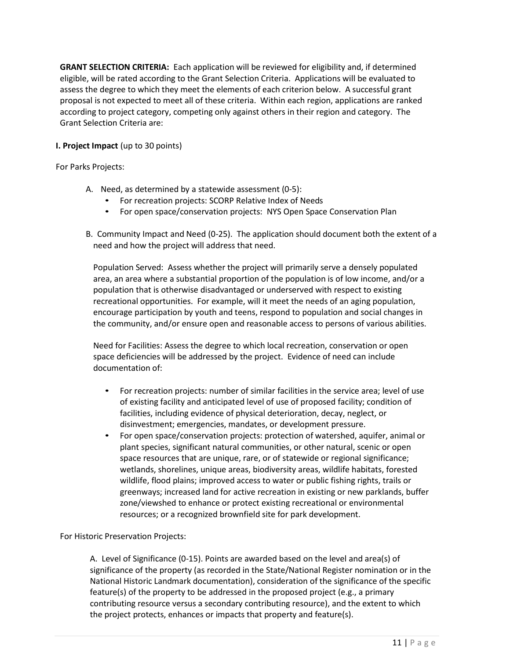**GRANT SELECTION CRITERIA:** Each application will be reviewed for eligibility and, if determined eligible, will be rated according to the Grant Selection Criteria. Applications will be evaluated to assess the degree to which they meet the elements of each criterion below. A successful grant proposal is not expected to meet all of these criteria. Within each region, applications are ranked according to project category, competing only against others in their region and category. The Grant Selection Criteria are:

# **I. Project Impact** (up to 30 points)

For Parks Projects:

- A. Need, as determined by a statewide assessment (0-5):
	- For recreation projects: SCORP Relative Index of Needs
	- For open space/conservation projects: NYS Open Space Conservation Plan
- B. Community Impact and Need (0-25). The application should document both the extent of a need and how the project will address that need.

Population Served: Assess whether the project will primarily serve a densely populated area, an area where a substantial proportion of the population is of low income, and/or a population that is otherwise disadvantaged or underserved with respect to existing recreational opportunities. For example, will it meet the needs of an aging population, encourage participation by youth and teens, respond to population and social changes in the community, and/or ensure open and reasonable access to persons of various abilities.

Need for Facilities: Assess the degree to which local recreation, conservation or open space deficiencies will be addressed by the project. Evidence of need can include documentation of:

- For recreation projects: number of similar facilities in the service area; level of use of existing facility and anticipated level of use of proposed facility; condition of facilities, including evidence of physical deterioration, decay, neglect, or disinvestment; emergencies, mandates, or development pressure.
- For open space/conservation projects: protection of watershed, aquifer, animal or plant species, significant natural communities, or other natural, scenic or open space resources that are unique, rare, or of statewide or regional significance; wetlands, shorelines, unique areas, biodiversity areas, wildlife habitats, forested wildlife, flood plains; improved access to water or public fishing rights, trails or greenways; increased land for active recreation in existing or new parklands, buffer zone/viewshed to enhance or protect existing recreational or environmental resources; or a recognized brownfield site for park development.

For Historic Preservation Projects:

A. Level of Significance (0-15). Points are awarded based on the level and area(s) of significance of the property (as recorded in the State/National Register nomination or in the National Historic Landmark documentation), consideration of the significance of the specific feature(s) of the property to be addressed in the proposed project (e.g., a primary contributing resource versus a secondary contributing resource), and the extent to which the project protects, enhances or impacts that property and feature(s).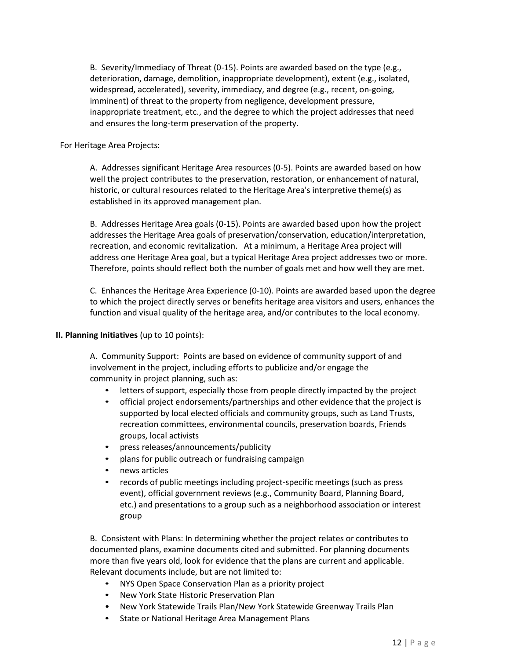B. Severity/Immediacy of Threat (0-15). Points are awarded based on the type (e.g., deterioration, damage, demolition, inappropriate development), extent (e.g., isolated, widespread, accelerated), severity, immediacy, and degree (e.g., recent, on-going, imminent) of threat to the property from negligence, development pressure, inappropriate treatment, etc., and the degree to which the project addresses that need and ensures the long-term preservation of the property.

#### For Heritage Area Projects:

A. Addresses significant Heritage Area resources (0-5). Points are awarded based on how well the project contributes to the preservation, restoration, or enhancement of natural, historic, or cultural resources related to the Heritage Area's interpretive theme(s) as established in its approved management plan.

B. Addresses Heritage Area goals (0-15). Points are awarded based upon how the project addresses the Heritage Area goals of preservation/conservation, education/interpretation, recreation, and economic revitalization. At a minimum, a Heritage Area project will address one Heritage Area goal, but a typical Heritage Area project addresses two or more. Therefore, points should reflect both the number of goals met and how well they are met.

C. Enhances the Heritage Area Experience (0-10). Points are awarded based upon the degree to which the project directly serves or benefits heritage area visitors and users, enhances the function and visual quality of the heritage area, and/or contributes to the local economy.

# **II. Planning Initiatives** (up to 10 points):

A. Community Support: Points are based on evidence of community support of and involvement in the project, including efforts to publicize and/or engage the community in project planning, such as:

- letters of support, especially those from people directly impacted by the project
- official project endorsements/partnerships and other evidence that the project is supported by local elected officials and community groups, such as Land Trusts, recreation committees, environmental councils, preservation boards, Friends groups, local activists
- press releases/announcements/publicity
- plans for public outreach or fundraising campaign
- news articles
- records of public meetings including project-specific meetings (such as press event), official government reviews (e.g., Community Board, Planning Board, etc.) and presentations to a group such as a neighborhood association or interest group

B. Consistent with Plans: In determining whether the project relates or contributes to documented plans, examine documents cited and submitted. For planning documents more than five years old, look for evidence that the plans are current and applicable. Relevant documents include, but are not limited to:

- NYS Open Space Conservation Plan as a priority project
- New York State Historic Preservation Plan
- New York Statewide Trails Plan/New York Statewide Greenway Trails Plan
- State or National Heritage Area Management Plans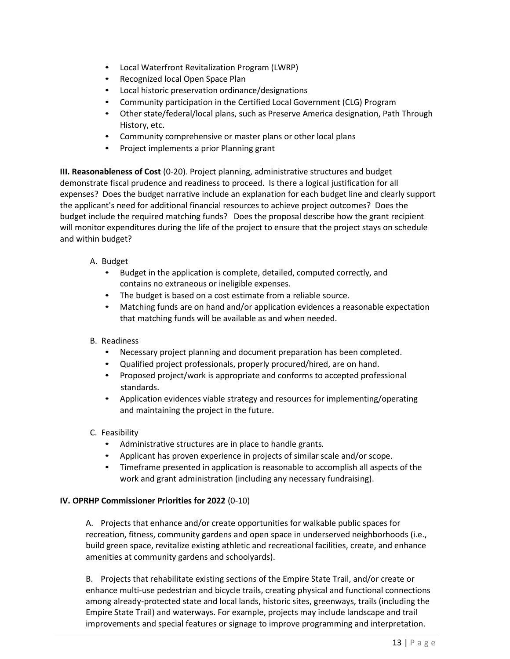- Local Waterfront Revitalization Program (LWRP)
- Recognized local Open Space Plan
- Local historic preservation ordinance/designations
- Community participation in the Certified Local Government (CLG) Program
- Other state/federal/local plans, such as Preserve America designation, Path Through History, etc.
- Community comprehensive or master plans or other local plans
- Project implements a prior Planning grant

**III. Reasonableness of Cost** (0-20). Project planning, administrative structures and budget demonstrate fiscal prudence and readiness to proceed. Is there a logical justification for all expenses? Does the budget narrative include an explanation for each budget line and clearly support the applicant's need for additional financial resources to achieve project outcomes? Does the budget include the required matching funds? Does the proposal describe how the grant recipient will monitor expenditures during the life of the project to ensure that the project stays on schedule and within budget?

- A. Budget
	- Budget in the application is complete, detailed, computed correctly, and contains no extraneous or ineligible expenses.
	- The budget is based on a cost estimate from a reliable source.
	- Matching funds are on hand and/or application evidences a reasonable expectation that matching funds will be available as and when needed.

# B. Readiness

- Necessary project planning and document preparation has been completed.
- Qualified project professionals, properly procured/hired, are on hand.
- Proposed project/work is appropriate and conforms to accepted professional standards.
- Application evidences viable strategy and resources for implementing/operating and maintaining the project in the future.

# C. Feasibility

- Administrative structures are in place to handle grants.
- Applicant has proven experience in projects of similar scale and/or scope.
- Timeframe presented in application is reasonable to accomplish all aspects of the work and grant administration (including any necessary fundraising).

# **IV. OPRHP Commissioner Priorities for 2022** (0-10)

A. Projects that enhance and/or create opportunities for walkable public spaces for recreation, fitness, community gardens and open space in underserved neighborhoods (i.e., build green space, revitalize existing athletic and recreational facilities, create, and enhance amenities at community gardens and schoolyards).

B. Projects that rehabilitate existing sections of the Empire State Trail, and/or create or enhance multi-use pedestrian and bicycle trails, creating physical and functional connections among already-protected state and local lands, historic sites, greenways, trails (including the Empire State Trail) and waterways. For example, projects may include landscape and trail improvements and special features or signage to improve programming and interpretation.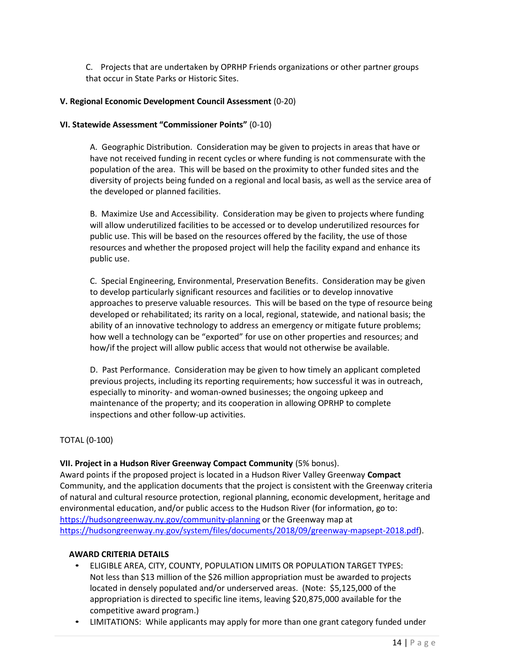C. Projects that are undertaken by OPRHP Friends organizations or other partner groups that occur in State Parks or Historic Sites.

# **V. Regional Economic Development Council Assessment** (0-20)

# **VI. Statewide Assessment "Commissioner Points"** (0-10)

A. Geographic Distribution. Consideration may be given to projects in areas that have or have not received funding in recent cycles or where funding is not commensurate with the population of the area. This will be based on the proximity to other funded sites and the diversity of projects being funded on a regional and local basis, as well as the service area of the developed or planned facilities.

B. Maximize Use and Accessibility. Consideration may be given to projects where funding will allow underutilized facilities to be accessed or to develop underutilized resources for public use. This will be based on the resources offered by the facility, the use of those resources and whether the proposed project will help the facility expand and enhance its public use.

C. Special Engineering, Environmental, Preservation Benefits. Consideration may be given to develop particularly significant resources and facilities or to develop innovative approaches to preserve valuable resources. This will be based on the type of resource being developed or rehabilitated; its rarity on a local, regional, statewide, and national basis; the ability of an innovative technology to address an emergency or mitigate future problems; how well a technology can be "exported" for use on other properties and resources; and how/if the project will allow public access that would not otherwise be available.

D. Past Performance. Consideration may be given to how timely an applicant completed previous projects, including its reporting requirements; how successful it was in outreach, especially to minority- and woman-owned businesses; the ongoing upkeep and maintenance of the property; and its cooperation in allowing OPRHP to complete inspections and other follow-up activities.

# TOTAL (0-100)

# **VII. Project in a Hudson River Greenway Compact Community** (5% bonus).

Award points if the proposed project is located in a Hudson River Valley Greenway **Compact** Community, and the application documents that the project is consistent with the Greenway criteria of natural and cultural resource protection, regional planning, economic development, heritage and environmental education, and/or public access to the Hudson River (for information, go to: <https://hudsongreenway.ny.gov/community-planning> or the Greenway map at [https://hudsongreenway.ny.gov/system/files/documents/2018/09/greenway-mapsept-2018.pdf\)](https://hudsongreenway.ny.gov/system/files/documents/2018/09/greenway-mapsept-2018.pdf).

# **AWARD CRITERIA DETAILS**

- ELIGIBLE AREA, CITY, COUNTY, POPULATION LIMITS OR POPULATION TARGET TYPES: Not less than \$13 million of the \$26 million appropriation must be awarded to projects located in densely populated and/or underserved areas. (Note: \$5,125,000 of the appropriation is directed to specific line items, leaving \$20,875,000 available for the competitive award program.)
- LIMITATIONS: While applicants may apply for more than one grant category funded under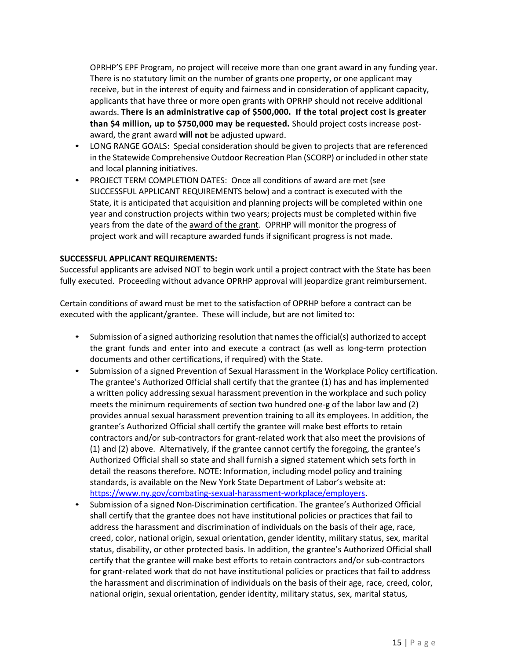OPRHP'S EPF Program, no project will receive more than one grant award in any funding year. There is no statutory limit on the number of grants one property, or one applicant may receive, but in the interest of equity and fairness and in consideration of applicant capacity, applicants that have three or more open grants with OPRHP should not receive additional awards. **There is an administrative cap of \$500,000. If the total project cost is greater than \$4 million, up to \$750,000 may be requested.** Should project costs increase postaward, the grant award **will not** be adjusted upward.

- LONG RANGE GOALS: Special consideration should be given to projects that are referenced in the Statewide Comprehensive Outdoor Recreation Plan (SCORP) or included in otherstate and local planning initiatives.
- PROJECT TERM COMPLETION DATES: Once all conditions of award are met (see SUCCESSFUL APPLICANT REQUIREMENTS below) and a contract is executed with the State, it is anticipated that acquisition and planning projects will be completed within one year and construction projects within two years; projects must be completed within five years from the date of the award of the grant. OPRHP will monitor the progress of project work and will recapture awarded funds if significant progress is not made.

# **SUCCESSFUL APPLICANT REQUIREMENTS:**

Successful applicants are advised NOT to begin work until a project contract with the State has been fully executed. Proceeding without advance OPRHP approval will jeopardize grant reimbursement.

Certain conditions of award must be met to the satisfaction of OPRHP before a contract can be executed with the applicant/grantee. These will include, but are not limited to:

- Submission of a signed authorizing resolution that names the official(s) authorized to accept the grant funds and enter into and execute a contract (as well as long-term protection documents and other certifications, if required) with the State.
- Submission of a signed Prevention of Sexual Harassment in the Workplace Policy certification. The grantee's Authorized Official shall certify that the grantee (1) has and has implemented a written policy addressing sexual harassment prevention in the workplace and such policy meets the minimum requirements of section two hundred one-g of the labor law and (2) provides annual sexual harassment prevention training to all its employees. In addition, the grantee's Authorized Official shall certify the grantee will make best efforts to retain contractors and/or sub-contractors for grant-related work that also meet the provisions of (1) and (2) above. Alternatively, if the grantee cannot certify the foregoing, the grantee's Authorized Official shall so state and shall furnish a signed statement which sets forth in detail the reasons therefore. NOTE: Information, including model policy and training standards, is available on the New York State Department of Labor's website at: [https://www.ny.gov/combating-sexual-harassment-workplace/employers.](https://www.ny.gov/combating-sexual-harassment-workplace/employers)
- Submission of a signed Non-Discrimination certification. The grantee's Authorized Official shall certify that the grantee does not have institutional policies or practices that fail to address the harassment and discrimination of individuals on the basis of their age, race, creed, color, national origin, sexual orientation, gender identity, military status, sex, marital status, disability, or other protected basis. In addition, the grantee's Authorized Official shall certify that the grantee will make best efforts to retain contractors and/or sub-contractors for grant-related work that do not have institutional policies or practices that fail to address the harassment and discrimination of individuals on the basis of their age, race, creed, color, national origin, sexual orientation, gender identity, military status, sex, marital status,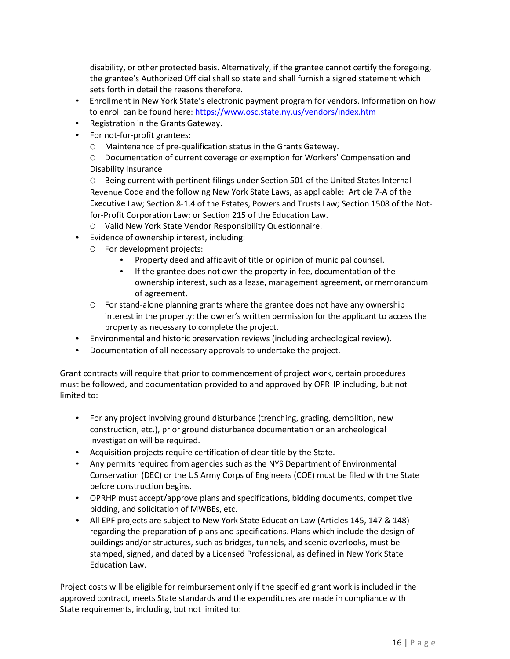disability, or other protected basis. Alternatively, if the grantee cannot certify the foregoing, the grantee's Authorized Official shall so state and shall furnish a signed statement which sets forth in detail the reasons therefore.

- Enrollment in New York State's electronic payment program for vendors. Information on how to enroll can be found here:<https://www.osc.state.ny.us/vendors/index.htm>
- Registration in the Grants Gateway.
- For not-for-profit grantees:
	- O Maintenance of pre-qualification status in the Grants Gateway.

O Documentation of current coverage or exemption for Workers' Compensation and Disability Insurance

O Being current with pertinent filings under Section 501 of the United States Internal Revenue Code and the following New York State Laws, as applicable: Article 7-A of the Executive Law; Section 8-1.4 of the Estates, Powers and Trusts Law; Section 1508 of the Notfor-Profit Corporation Law; or Section 215 of the Education Law.

- O Valid New York State Vendor Responsibility Questionnaire.
- Evidence of ownership interest, including:
	- O For development projects:
		- Property deed and affidavit of title or opinion of municipal counsel.
		- If the grantee does not own the property in fee, documentation of the ownership interest, such as a lease, management agreement, or memorandum of agreement.
	- O For stand-alone planning grants where the grantee does not have any ownership interest in the property: the owner's written permission for the applicant to access the property as necessary to complete the project.
- Environmental and historic preservation reviews (including archeological review).
- Documentation of all necessary approvals to undertake the project.

Grant contracts will require that prior to commencement of project work, certain procedures must be followed, and documentation provided to and approved by OPRHP including, but not limited to:

- For any project involving ground disturbance (trenching, grading, demolition, new construction, etc.), prior ground disturbance documentation or an archeological investigation will be required.
- Acquisition projects require certification of clear title by the State.
- Any permits required from agencies such as the NYS Department of Environmental Conservation (DEC) or the US Army Corps of Engineers (COE) must be filed with the State before construction begins.
- OPRHP must accept/approve plans and specifications, bidding documents, competitive bidding, and solicitation of MWBEs, etc.
- All EPF projects are subject to New York State Education Law (Articles 145, 147 & 148) regarding the preparation of plans and specifications. Plans which include the design of buildings and/or structures, such as bridges, tunnels, and scenic overlooks, must be stamped, signed, and dated by a Licensed Professional, as defined in New York State Education Law.

Project costs will be eligible for reimbursement only if the specified grant work is included in the approved contract, meets State standards and the expenditures are made in compliance with State requirements, including, but not limited to: